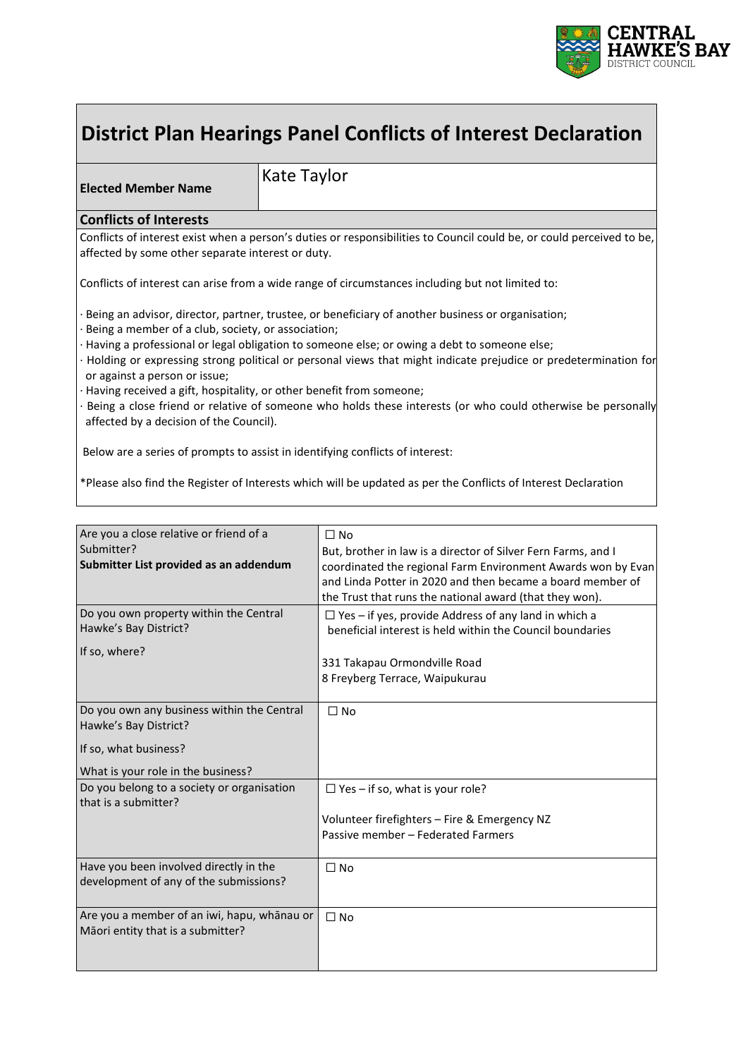

# **District Plan Hearings Panel Conflicts of Interest Declaration**

**Elected Member Name** Kate Taylor

#### **Conflicts of Interests**

Conflicts of interest exist when a person's duties or responsibilities to Council could be, or could perceived to be, affected by some other separate interest or duty.

Conflicts of interest can arise from a wide range of circumstances including but not limited to:

Being an advisor, director, partner, trustee, or beneficiary of another business or organisation;

- · Being a member of a club, society, or association;
- · Having a professional or legal obligation to someone else; or owing a debt to someone else;
- · Holding or expressing strong political or personal views that might indicate prejudice or predetermination for or against a person or issue;
- Having received a gift, hospitality, or other benefit from someone;

· Being a close friend or relative of someone who holds these interests (or who could otherwise be personally affected by a decision of the Council).

Below are a series of prompts to assist in identifying conflicts of interest:

\*Please also find the Register of Interests which will be updated as per the Conflicts of Interest Declaration

| Are you a close relative or friend of a     | $\Box$ No                                                     |  |
|---------------------------------------------|---------------------------------------------------------------|--|
| Submitter?                                  | But, brother in law is a director of Silver Fern Farms, and I |  |
| Submitter List provided as an addendum      | coordinated the regional Farm Environment Awards won by Evan  |  |
|                                             | and Linda Potter in 2020 and then became a board member of    |  |
|                                             | the Trust that runs the national award (that they won).       |  |
| Do you own property within the Central      | $\Box$ Yes – if yes, provide Address of any land in which a   |  |
| Hawke's Bay District?                       | beneficial interest is held within the Council boundaries     |  |
| If so, where?                               |                                                               |  |
|                                             | 331 Takapau Ormondville Road                                  |  |
|                                             | 8 Freyberg Terrace, Waipukurau                                |  |
|                                             |                                                               |  |
| Do you own any business within the Central  | $\Box$ No                                                     |  |
| Hawke's Bay District?                       |                                                               |  |
| If so, what business?                       |                                                               |  |
| What is your role in the business?          |                                                               |  |
| Do you belong to a society or organisation  | $\Box$ Yes – if so, what is your role?                        |  |
| that is a submitter?                        |                                                               |  |
|                                             | Volunteer firefighters - Fire & Emergency NZ                  |  |
|                                             | Passive member - Federated Farmers                            |  |
| Have you been involved directly in the      | $\Box$ No                                                     |  |
| development of any of the submissions?      |                                                               |  |
|                                             |                                                               |  |
| Are you a member of an iwi, hapu, whānau or | $\square$ No                                                  |  |
| Māori entity that is a submitter?           |                                                               |  |
|                                             |                                                               |  |
|                                             |                                                               |  |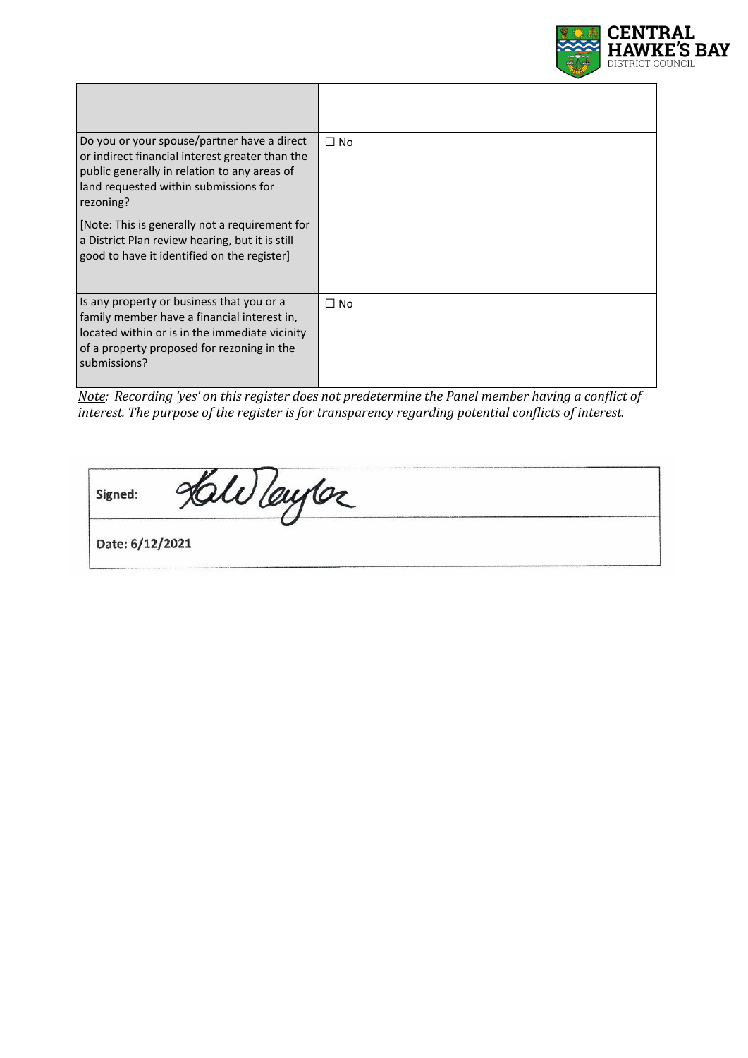

| Do you or your spouse/partner have a direct<br>or indirect financial interest greater than the<br>public generally in relation to any areas of<br>land requested within submissions for<br>rezoning?     | $\Box$ No |
|----------------------------------------------------------------------------------------------------------------------------------------------------------------------------------------------------------|-----------|
| [Note: This is generally not a requirement for<br>a District Plan review hearing, but it is still<br>good to have it identified on the register]                                                         |           |
| Is any property or business that you or a<br>family member have a financial interest in,<br>located within or is in the immediate vicinity<br>of a property proposed for rezoning in the<br>submissions? | $\Box$ No |

*Note: Recording 'yes' on this register does not predetermine the Panel member having a conflict of interest. The purpose of the register is for transparency regarding potential conflicts of interest.*

Held Taylor Signed: Date: 6/12/2021